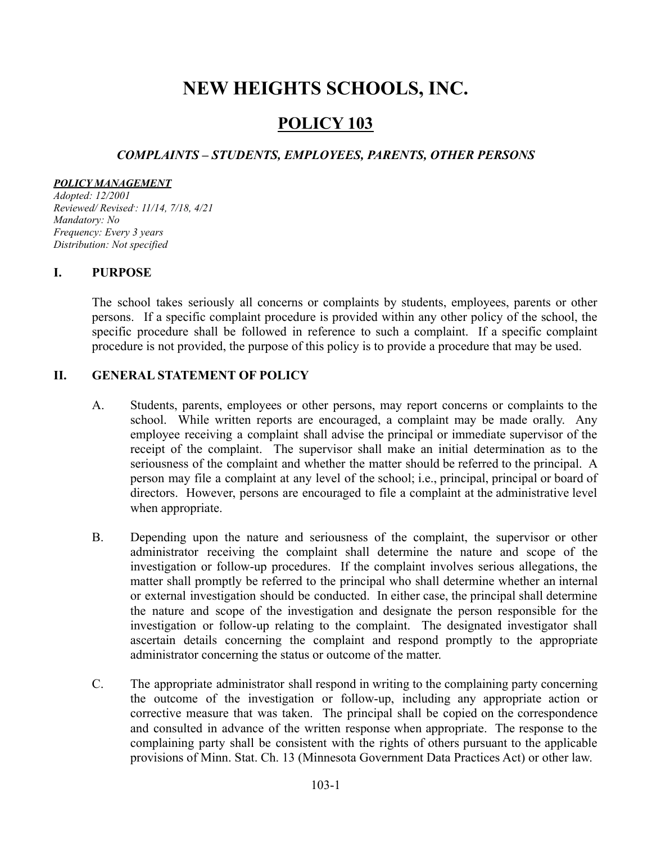# **NEW HEIGHTS SCHOOLS, INC.**

# **POLICY 103**

# *COMPLAINTS – STUDENTS, EMPLOYEES, PARENTS, OTHER PERSONS*

#### *POLICY MANAGEMENT*

*Adopted: 12/2001 Reviewed/ Revised\*: 11/14, 7/18, 4/21 Mandatory: No Frequency: Every 3 years Distribution: Not specified*

## **I. PURPOSE**

The school takes seriously all concerns or complaints by students, employees, parents or other persons. If a specific complaint procedure is provided within any other policy of the school, the specific procedure shall be followed in reference to such a complaint. If a specific complaint procedure is not provided, the purpose of this policy is to provide a procedure that may be used.

## **II. GENERAL STATEMENT OF POLICY**

- A. Students, parents, employees or other persons, may report concerns or complaints to the school. While written reports are encouraged, a complaint may be made orally. Any employee receiving a complaint shall advise the principal or immediate supervisor of the receipt of the complaint. The supervisor shall make an initial determination as to the seriousness of the complaint and whether the matter should be referred to the principal. A person may file a complaint at any level of the school; i.e., principal, principal or board of directors. However, persons are encouraged to file a complaint at the administrative level when appropriate.
- B. Depending upon the nature and seriousness of the complaint, the supervisor or other administrator receiving the complaint shall determine the nature and scope of the investigation or follow-up procedures. If the complaint involves serious allegations, the matter shall promptly be referred to the principal who shall determine whether an internal or external investigation should be conducted. In either case, the principal shall determine the nature and scope of the investigation and designate the person responsible for the investigation or follow-up relating to the complaint. The designated investigator shall ascertain details concerning the complaint and respond promptly to the appropriate administrator concerning the status or outcome of the matter.
- C. The appropriate administrator shall respond in writing to the complaining party concerning the outcome of the investigation or follow-up, including any appropriate action or corrective measure that was taken. The principal shall be copied on the correspondence and consulted in advance of the written response when appropriate. The response to the complaining party shall be consistent with the rights of others pursuant to the applicable provisions of Minn. Stat. Ch. 13 (Minnesota Government Data Practices Act) or other law.